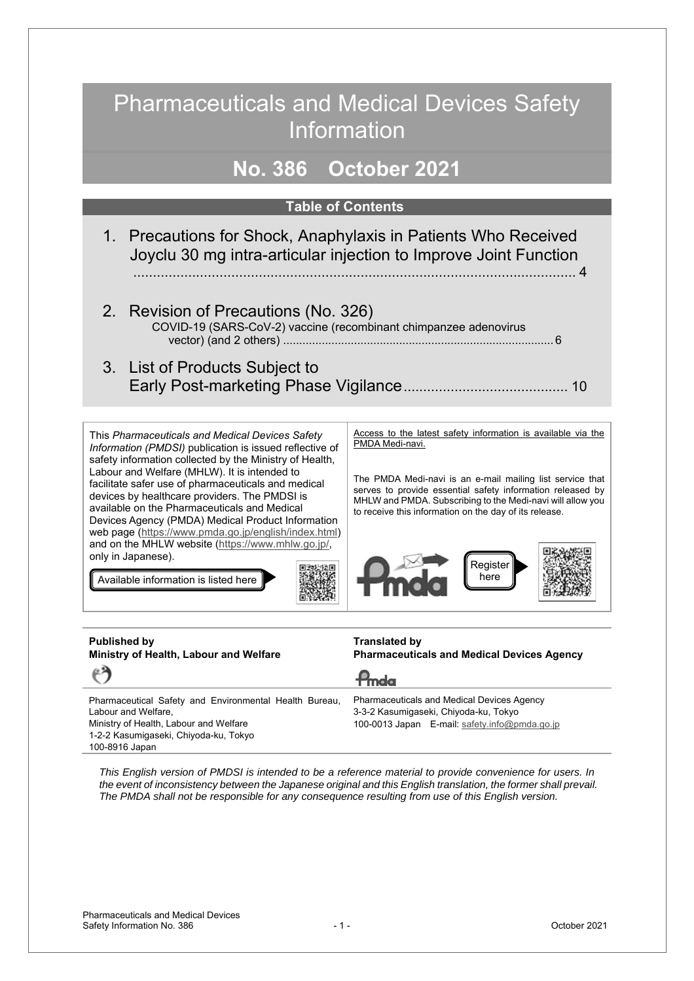# Pharmaceuticals and Medical Devices Safety **Information**

# **No. 386 October 2021**

### **Table of Contents**

- 1. Precautions for Shock, Anaphylaxis in Patients Who Received Joyclu 30 mg intra-articular injection to Improve Joint Function ................................................................................................................. [4](#page-3-0)
- 2. Revision of Precautions (No. 326) COVID-19 (SARS-CoV-2) vaccine (recombinant chimpanzee adenovirus vector) (and 2 others) ..................................................................................[.. 6](#page-5-0)
- 3. List of Products Subject to Early Post-marketing Phase Vigilance .......................................... [10](#page-9-0)

This *Pharmaceuticals and Medical Devices Safety Information (PMDSI)* publication is issued reflective of safety information collected by the Ministry of Health, Labour and Welfare (MHLW). It is intended to facilitate safer use of pharmaceuticals and medical devices by healthcare providers. The PMDSI is available on the Pharmaceuticals and Medical Devices Agency (PMDA) Medical Product Information web page (https://www.pmda.go.jp/english/index.html) and on the MHLW website (https://www.mhlw.go.jp/, only in Japanese).

Available information is listed here

Access to the latest safety information is available via the PMDA Medi-navi.

The PMDA Medi-navi is an e-mail mailing list service that serves to provide essential safety information released by MHLW and PMDA. Subscribing to the Medi-navi will allow you to receive this information on the day of its release.



#### **Published by Ministry of Health, Labour and Welfare**

**Translated by Pharmaceuticals and Medical Devices Agency**

Pharmaceutical Safety and Environmental Health Bureau, Labour and Welfare, Ministry of Health, Labour and Welfare 1-2-2 Kasumigaseki, Chiyoda-ku, Tokyo 100-8916 Japan Pharmaceuticals and Medical Devices Agency 3-3-2 Kasumigaseki, Chiyoda-ku, Tokyo 100-0013 Japan E-mail: safety.info@pmda.go.jp

*This English version of PMDSI is intended to be a reference material to provide convenience for users. In the event of inconsistency between the Japanese original and this English translation, the former shall prevail. The PMDA shall not be responsible for any consequence resulting from use of this English version.* 

Pmda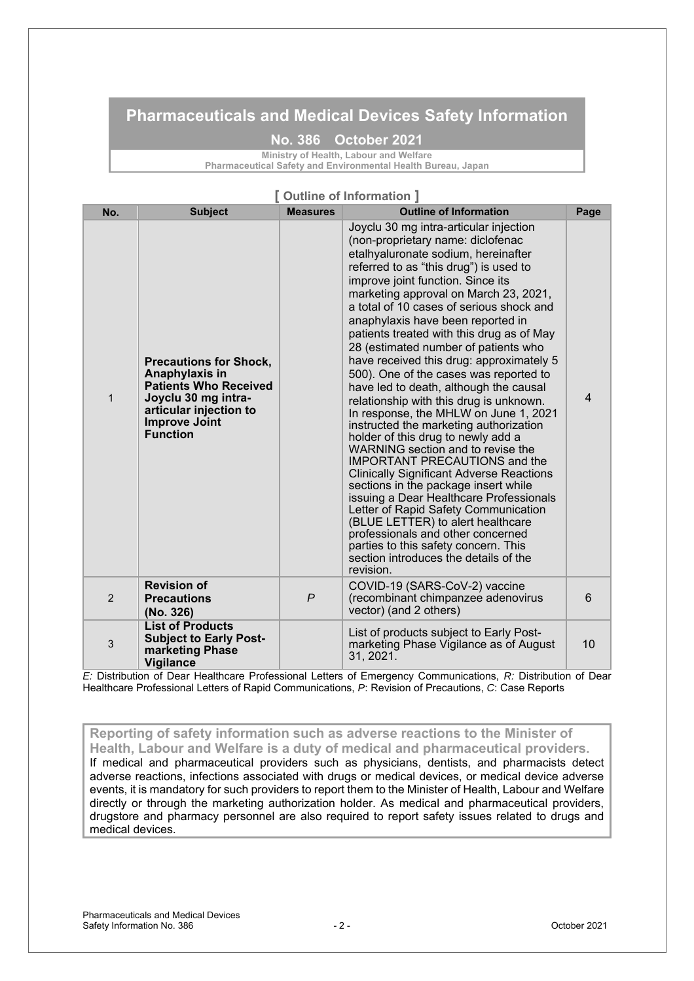## **Pharmaceuticals and Medical Devices Safety Information**

#### **No. 386 October 2021**

**Ministry of Health, Labour and Welfare** 

**Pharmaceutical Safety and Environmental Health Bureau, Japan** 

#### **[ Outline of Information ]**

| No.          | <b>Subject</b>                                                                                                                                                              | <b>Measures</b> | <b>Outline of Information</b>                                                                                                                                                                                                                                                                                                                                                                                                                                                                                                                                                                                                                                                                                                                                                                                                                                                                                                                                                                                                                                                                                                                           | Page           |
|--------------|-----------------------------------------------------------------------------------------------------------------------------------------------------------------------------|-----------------|---------------------------------------------------------------------------------------------------------------------------------------------------------------------------------------------------------------------------------------------------------------------------------------------------------------------------------------------------------------------------------------------------------------------------------------------------------------------------------------------------------------------------------------------------------------------------------------------------------------------------------------------------------------------------------------------------------------------------------------------------------------------------------------------------------------------------------------------------------------------------------------------------------------------------------------------------------------------------------------------------------------------------------------------------------------------------------------------------------------------------------------------------------|----------------|
| $\mathbf{1}$ | <b>Precautions for Shock,</b><br>Anaphylaxis in<br><b>Patients Who Received</b><br>Joyclu 30 mg intra-<br>articular injection to<br><b>Improve Joint</b><br><b>Function</b> |                 | Joyclu 30 mg intra-articular injection<br>(non-proprietary name: diclofenac<br>etalhyaluronate sodium, hereinafter<br>referred to as "this drug") is used to<br>improve joint function. Since its<br>marketing approval on March 23, 2021,<br>a total of 10 cases of serious shock and<br>anaphylaxis have been reported in<br>patients treated with this drug as of May<br>28 (estimated number of patients who<br>have received this drug: approximately 5<br>500). One of the cases was reported to<br>have led to death, although the causal<br>relationship with this drug is unknown.<br>In response, the MHLW on June 1, 2021<br>instructed the marketing authorization<br>holder of this drug to newly add a<br>WARNING section and to revise the<br><b>IMPORTANT PRECAUTIONS and the</b><br><b>Clinically Significant Adverse Reactions</b><br>sections in the package insert while<br>issuing a Dear Healthcare Professionals<br>Letter of Rapid Safety Communication<br>(BLUE LETTER) to alert healthcare<br>professionals and other concerned<br>parties to this safety concern. This<br>section introduces the details of the<br>revision. | $\overline{4}$ |
| 2            | <b>Revision of</b><br><b>Precautions</b><br>(No. 326)                                                                                                                       | $\overline{P}$  | COVID-19 (SARS-CoV-2) vaccine<br>(recombinant chimpanzee adenovirus<br>vector) (and 2 others)                                                                                                                                                                                                                                                                                                                                                                                                                                                                                                                                                                                                                                                                                                                                                                                                                                                                                                                                                                                                                                                           | 6              |
| 3            | <b>List of Products</b><br><b>Subject to Early Post-</b><br>marketing Phase<br><b>Vigilance</b>                                                                             |                 | List of products subject to Early Post-<br>marketing Phase Vigilance as of August<br>31, 2021.                                                                                                                                                                                                                                                                                                                                                                                                                                                                                                                                                                                                                                                                                                                                                                                                                                                                                                                                                                                                                                                          | 10             |

*E:* Distribution of Dear Healthcare Professional Letters of Emergency Communications, *R:* Distribution of Dear Healthcare Professional Letters of Rapid Communications, *P*: Revision of Precautions, *C*: Case Reports

**Reporting of safety information such as adverse reactions to the Minister of Health, Labour and Welfare is a duty of medical and pharmaceutical providers.**  If medical and pharmaceutical providers such as physicians, dentists, and pharmacists detect adverse reactions, infections associated with drugs or medical devices, or medical device adverse events, it is mandatory for such providers to report them to the Minister of Health, Labour and Welfare directly or through the marketing authorization holder. As medical and pharmaceutical providers, drugstore and pharmacy personnel are also required to report safety issues related to drugs and medical devices.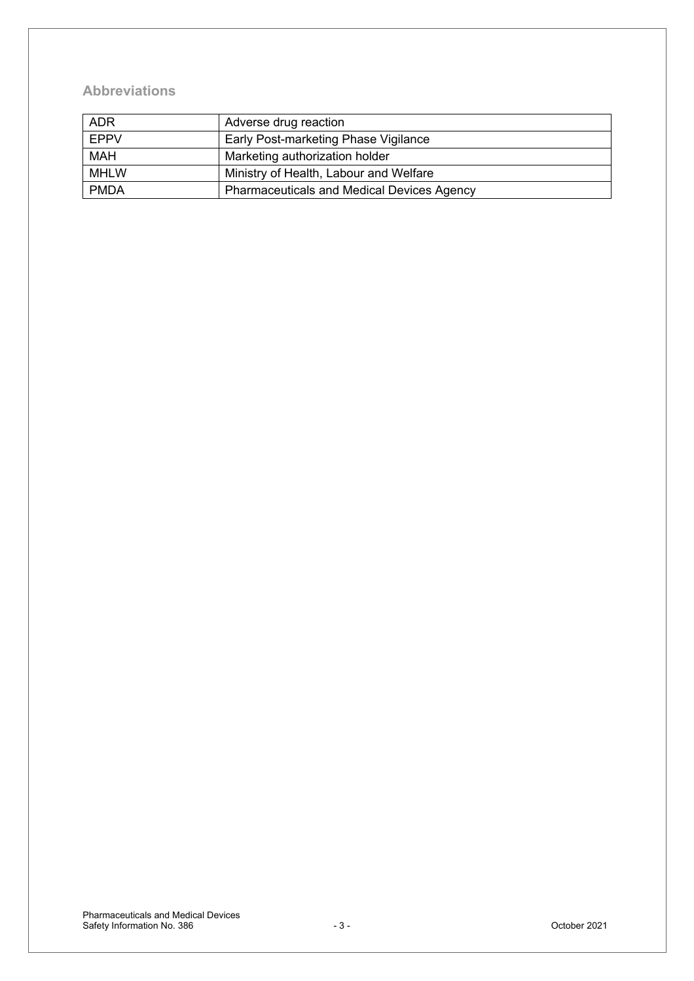## **Abbreviations**

| <b>ADR</b>  | Adverse drug reaction                             |
|-------------|---------------------------------------------------|
| <b>EPPV</b> | Early Post-marketing Phase Vigilance              |
| <b>MAH</b>  | Marketing authorization holder                    |
| <b>MHLW</b> | Ministry of Health, Labour and Welfare            |
| <b>PMDA</b> | <b>Pharmaceuticals and Medical Devices Agency</b> |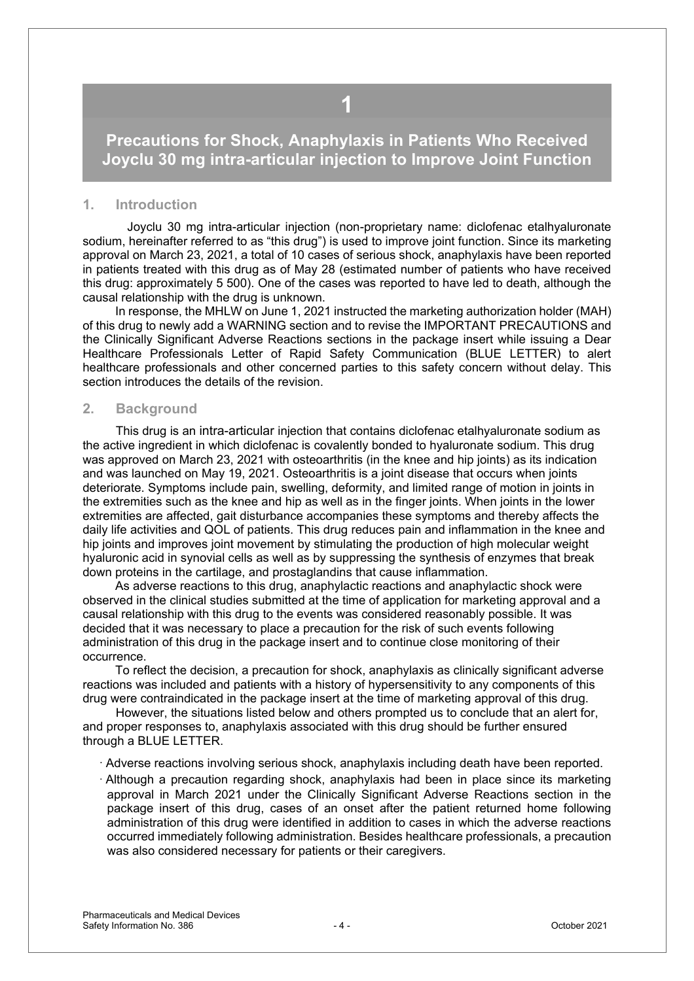## <span id="page-3-0"></span>**Precautions for Shock, Anaphylaxis in Patients Who Received Joyclu 30 mg intra-articular injection to Improve Joint Function**

**1** 

#### **1. Introduction**

Joyclu 30 mg intra-articular injection (non-proprietary name: diclofenac etalhyaluronate sodium, hereinafter referred to as "this drug") is used to improve joint function. Since its marketing approval on March 23, 2021, a total of 10 cases of serious shock, anaphylaxis have been reported in patients treated with this drug as of May 28 (estimated number of patients who have received this drug: approximately 5 500). One of the cases was reported to have led to death, although the causal relationship with the drug is unknown.

In response, the MHLW on June 1, 2021 instructed the marketing authorization holder (MAH) of this drug to newly add a WARNING section and to revise the IMPORTANT PRECAUTIONS and the Clinically Significant Adverse Reactions sections in the package insert while issuing a Dear Healthcare Professionals Letter of Rapid Safety Communication (BLUE LETTER) to alert healthcare professionals and other concerned parties to this safety concern without delay. This section introduces the details of the revision.

#### **2. Background**

This drug is an intra-articular injection that contains diclofenac etalhyaluronate sodium as the active ingredient in which diclofenac is covalently bonded to hyaluronate sodium. This drug was approved on March 23, 2021 with osteoarthritis (in the knee and hip joints) as its indication and was launched on May 19, 2021. Osteoarthritis is a joint disease that occurs when joints deteriorate. Symptoms include pain, swelling, deformity, and limited range of motion in joints in the extremities such as the knee and hip as well as in the finger joints. When joints in the lower extremities are affected, gait disturbance accompanies these symptoms and thereby affects the daily life activities and QOL of patients. This drug reduces pain and inflammation in the knee and hip joints and improves joint movement by stimulating the production of high molecular weight hyaluronic acid in synovial cells as well as by suppressing the synthesis of enzymes that break down proteins in the cartilage, and prostaglandins that cause inflammation.

As adverse reactions to this drug, anaphylactic reactions and anaphylactic shock were observed in the clinical studies submitted at the time of application for marketing approval and a causal relationship with this drug to the events was considered reasonably possible. It was decided that it was necessary to place a precaution for the risk of such events following administration of this drug in the package insert and to continue close monitoring of their occurrence.

To reflect the decision, a precaution for shock, anaphylaxis as clinically significant adverse reactions was included and patients with a history of hypersensitivity to any components of this drug were contraindicated in the package insert at the time of marketing approval of this drug.

 However, the situations listed below and others prompted us to conclude that an alert for, and proper responses to, anaphylaxis associated with this drug should be further ensured through a BLUE LETTER.

- · Adverse reactions involving serious shock, anaphylaxis including death have been reported.
- · Although a precaution regarding shock, anaphylaxis had been in place since its marketing approval in March 2021 under the Clinically Significant Adverse Reactions section in the package insert of this drug, cases of an onset after the patient returned home following administration of this drug were identified in addition to cases in which the adverse reactions occurred immediately following administration. Besides healthcare professionals, a precaution was also considered necessary for patients or their caregivers.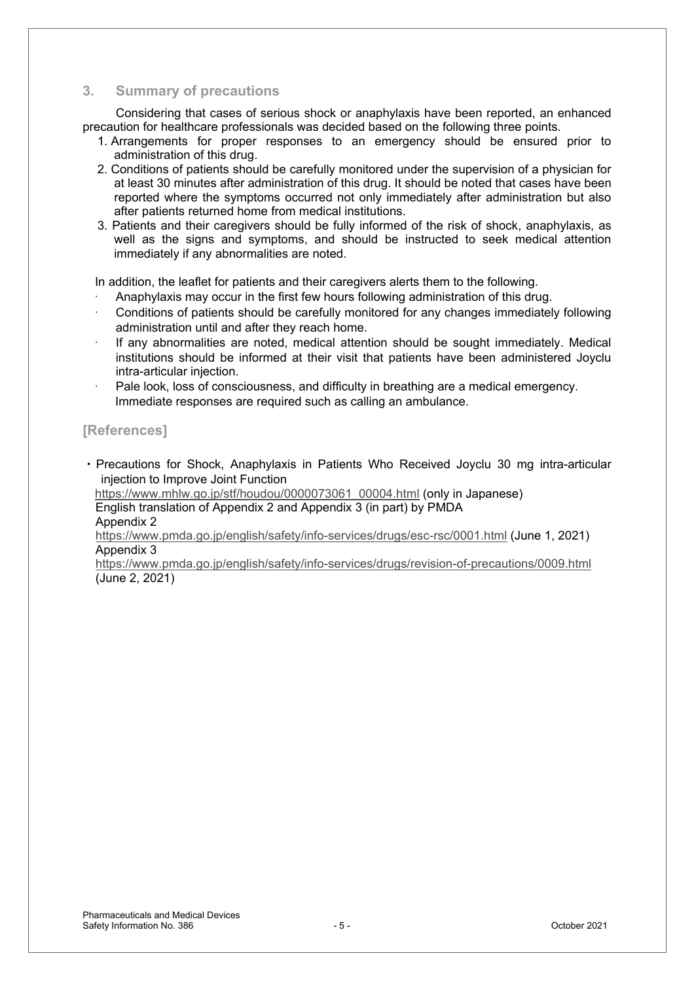### **3. Summary of precautions**

Considering that cases of serious shock or anaphylaxis have been reported, an enhanced precaution for healthcare professionals was decided based on the following three points.

- 1. Arrangements for proper responses to an emergency should be ensured prior to administration of this drug.
- 2. Conditions of patients should be carefully monitored under the supervision of a physician for at least 30 minutes after administration of this drug. It should be noted that cases have been reported where the symptoms occurred not only immediately after administration but also after patients returned home from medical institutions.
- 3. Patients and their caregivers should be fully informed of the risk of shock, anaphylaxis, as well as the signs and symptoms, and should be instructed to seek medical attention immediately if any abnormalities are noted.

In addition, the leaflet for patients and their caregivers alerts them to the following.

- Anaphylaxis may occur in the first few hours following administration of this drug.
- Conditions of patients should be carefully monitored for any changes immediately following administration until and after they reach home.
- If any abnormalities are noted, medical attention should be sought immediately. Medical institutions should be informed at their visit that patients have been administered Joyclu intra-articular injection.
- Pale look, loss of consciousness, and difficulty in breathing are a medical emergency. Immediate responses are required such as calling an ambulance.

### **[References]**

• Precautions for Shock, Anaphylaxis in Patients Who Received Joyclu 30 mg intra-articular injection to Improve Joint Function

 https://www.mhlw.go.jp/stf/houdou/0000073061\_00004.html (only in Japanese) English translation of Appendix 2 and Appendix 3 (in part) by PMDA Appendix 2

https://www.pmda.go.jp/english/safety/info-services/drugs/esc-rsc/0001.html (June 1, 2021) Appendix 3

https://www.pmda.go.jp/english/safety/info-services/drugs/revision-of-precautions/0009.html (June 2, 2021)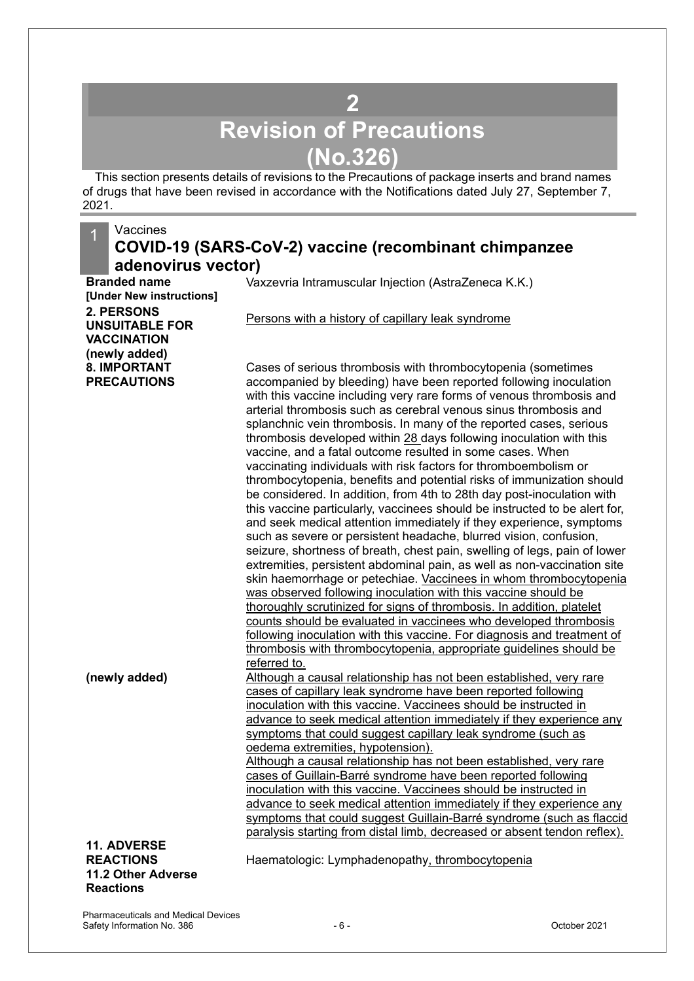# **2 Revision of Precautions (No.326)**

<span id="page-5-0"></span>This section presents details of revisions to the Precautions of package inserts and brand names of drugs that have been revised in accordance with the Notifications dated July 27, September 7, 2021.

#### **Vaccines COVID-19 (SARS-CoV-2) vaccine (recombinant chimpanzee adenovirus vector) Branded name** Vaxzevria Intramuscular Injection (AstraZeneca K.K.) **[Under New instructions] 2. PERSONS UNSUITABLE FOR VACCINATION (newly added)** Persons with a history of capillary leak syndrome **8. IMPORTANT PRECAUTIONS** Cases of serious thrombosis with thrombocytopenia (sometimes accompanied by bleeding) have been reported following inoculation with this vaccine including very rare forms of venous thrombosis and arterial thrombosis such as cerebral venous sinus thrombosis and splanchnic vein thrombosis. In many of the reported cases, serious thrombosis developed within 28 days following inoculation with this vaccine, and a fatal outcome resulted in some cases. When vaccinating individuals with risk factors for thromboembolism or thrombocytopenia, benefits and potential risks of immunization should be considered. In addition, from 4th to 28th day post-inoculation with this vaccine particularly, vaccinees should be instructed to be alert for, and seek medical attention immediately if they experience, symptoms such as severe or persistent headache, blurred vision, confusion, seizure, shortness of breath, chest pain, swelling of legs, pain of lower extremities, persistent abdominal pain, as well as non-vaccination site skin haemorrhage or petechiae. Vaccinees in whom thrombocytopenia was observed following inoculation with this vaccine should be thoroughly scrutinized for signs of thrombosis. In addition, platelet counts should be evaluated in vaccinees who developed thrombosis following inoculation with this vaccine. For diagnosis and treatment of thrombosis with thrombocytopenia, appropriate guidelines should be referred to. **(newly added)** Although a causal relationship has not been established, very rare cases of capillary leak syndrome have been reported following inoculation with this vaccine. Vaccinees should be instructed in advance to seek medical attention immediately if they experience any symptoms that could suggest capillary leak syndrome (such as oedema extremities, hypotension). Although a causal relationship has not been established, very rare cases of Guillain-Barré syndrome have been reported following inoculation with this vaccine. Vaccinees should be instructed in advance to seek medical attention immediately if they experience any symptoms that could suggest Guillain-Barré syndrome (such as flaccid paralysis starting from distal limb, decreased or absent tendon reflex). **11. ADVERSE REACTIONS 11.2 Other Adverse Reactions** Haematologic: Lymphadenopathy, thrombocytopenia

Pharmaceuticals and Medical Devices Safety Information No. 386 and Safety Information No. 386 and Safety Information No. 386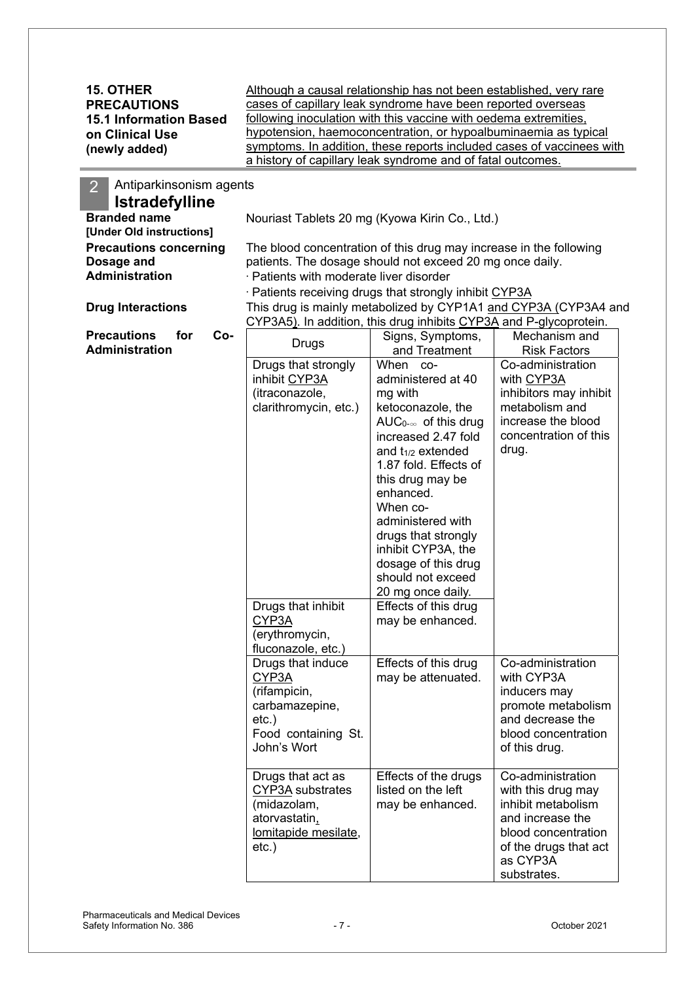| <b>15. OTHER</b><br><b>PRECAUTIONS</b><br><b>15.1 Information Based</b><br>on Clinical Use<br>(newly added) | Although a causal relationship has not been established, very rare<br>cases of capillary leak syndrome have been reported overseas<br>following inoculation with this vaccine with oedema extremities,<br>hypotension, haemoconcentration, or hypoalbuminaemia as typical<br>symptoms. In addition, these reports included cases of vaccinees with<br>a history of capillary leak syndrome and of fatal outcomes. |                                                                                                                                                                                                                                                                                                                                                                                                                           |                                                                                                                                                                                                                                                                                    |  |  |
|-------------------------------------------------------------------------------------------------------------|-------------------------------------------------------------------------------------------------------------------------------------------------------------------------------------------------------------------------------------------------------------------------------------------------------------------------------------------------------------------------------------------------------------------|---------------------------------------------------------------------------------------------------------------------------------------------------------------------------------------------------------------------------------------------------------------------------------------------------------------------------------------------------------------------------------------------------------------------------|------------------------------------------------------------------------------------------------------------------------------------------------------------------------------------------------------------------------------------------------------------------------------------|--|--|
| Antiparkinsonism agents<br>$\overline{2}$<br><b>Istradefylline</b>                                          |                                                                                                                                                                                                                                                                                                                                                                                                                   |                                                                                                                                                                                                                                                                                                                                                                                                                           |                                                                                                                                                                                                                                                                                    |  |  |
| <b>Branded name</b><br>[Under Old instructions]                                                             |                                                                                                                                                                                                                                                                                                                                                                                                                   | Nouriast Tablets 20 mg (Kyowa Kirin Co., Ltd.)                                                                                                                                                                                                                                                                                                                                                                            |                                                                                                                                                                                                                                                                                    |  |  |
| <b>Precautions concerning</b><br>Dosage and<br><b>Administration</b>                                        | The blood concentration of this drug may increase in the following<br>patients. The dosage should not exceed 20 mg once daily.<br>· Patients with moderate liver disorder                                                                                                                                                                                                                                         |                                                                                                                                                                                                                                                                                                                                                                                                                           |                                                                                                                                                                                                                                                                                    |  |  |
| <b>Drug Interactions</b>                                                                                    |                                                                                                                                                                                                                                                                                                                                                                                                                   | · Patients receiving drugs that strongly inhibit CYP3A                                                                                                                                                                                                                                                                                                                                                                    | This drug is mainly metabolized by CYP1A1 and CYP3A (CYP3A4 and                                                                                                                                                                                                                    |  |  |
|                                                                                                             |                                                                                                                                                                                                                                                                                                                                                                                                                   | CYP3A5). In addition, this drug inhibits CYP3A and P-glycoprotein.                                                                                                                                                                                                                                                                                                                                                        |                                                                                                                                                                                                                                                                                    |  |  |
| <b>Precautions</b><br>Co-<br>for<br><b>Administration</b>                                                   | <b>Drugs</b>                                                                                                                                                                                                                                                                                                                                                                                                      | Signs, Symptoms,<br>and Treatment                                                                                                                                                                                                                                                                                                                                                                                         | Mechanism and<br><b>Risk Factors</b>                                                                                                                                                                                                                                               |  |  |
|                                                                                                             | Drugs that strongly<br>inhibit CYP3A<br>(itraconazole,<br>clarithromycin, etc.)<br>Drugs that inhibit<br>CYP3A<br>(erythromycin,<br>fluconazole, etc.)                                                                                                                                                                                                                                                            | When co-<br>administered at 40<br>mg with<br>ketoconazole, the<br>AUC <sub>0-<math>\infty</math></sub> of this drug<br>increased 2.47 fold<br>and $t_{1/2}$ extended<br>1.87 fold. Effects of<br>this drug may be<br>enhanced.<br>When co-<br>administered with<br>drugs that strongly<br>inhibit CYP3A, the<br>dosage of this drug<br>should not exceed<br>20 mg once daily.<br>Effects of this drug<br>may be enhanced. | Co-administration<br>with CYP3A<br>inhibitors may inhibit<br>metabolism and<br>increase the blood<br>concentration of this<br>drug.                                                                                                                                                |  |  |
|                                                                                                             | Drugs that induce<br>CYP3A<br>(rifampicin,<br>carbamazepine,<br>$etc.$ )<br>Food containing St.<br>John's Wort<br>Drugs that act as<br>CYP3A substrates<br>(midazolam,<br>atorvastatin,<br>lomitapide mesilate,<br>$etc.$ )                                                                                                                                                                                       | Effects of this drug<br>may be attenuated.<br>Effects of the drugs<br>listed on the left<br>may be enhanced.                                                                                                                                                                                                                                                                                                              | Co-administration<br>with CYP3A<br>inducers may<br>promote metabolism<br>and decrease the<br>blood concentration<br>of this drug.<br>Co-administration<br>with this drug may<br>inhibit metabolism<br>and increase the<br>blood concentration<br>of the drugs that act<br>as CYP3A |  |  |

substrates.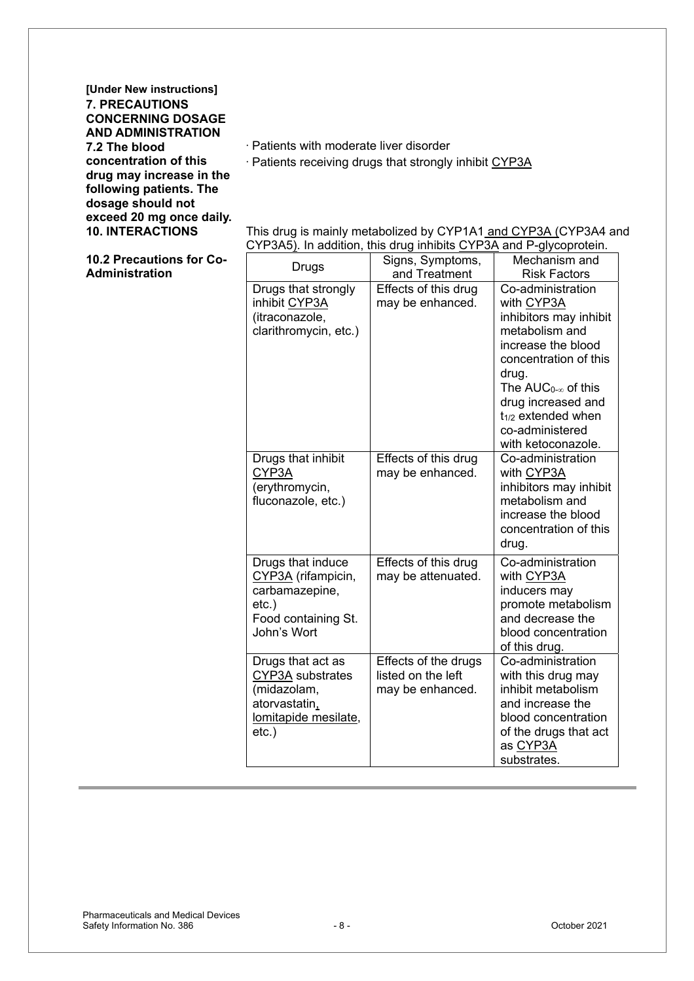**[Under New instructions] 7. PRECAUTIONS CONCERNING DOSAGE AND ADMINISTRATION 7.2 The blood concentration of this drug may increase in the following patients. The dosage should not exceed 20 mg once daily.**

 $\cdot$  Patients with moderate liver disorder

· Patients receiving drugs that strongly inhibit CYP3A

**10. INTERACTIONS** This drug is mainly metabolized by CYP1A1 and CYP3A (CYP3A4 and CYP3A5). In addition, this drug inhibits CYP3A and P-glycoprotein.

| 10.2 Precautions for Co- | <b>Drugs</b>                                                                                                | Signs, Symptoms,                                               | Mechanism and                                                                                                                                                |
|--------------------------|-------------------------------------------------------------------------------------------------------------|----------------------------------------------------------------|--------------------------------------------------------------------------------------------------------------------------------------------------------------|
| Administration           |                                                                                                             | and Treatment                                                  | <b>Risk Factors</b>                                                                                                                                          |
|                          | Drugs that strongly<br>inhibit CYP3A                                                                        | Effects of this drug<br>may be enhanced.                       | Co-administration<br>with CYP3A                                                                                                                              |
|                          | (itraconazole,<br>clarithromycin, etc.)                                                                     |                                                                | inhibitors may inhibit<br>metabolism and<br>increase the blood                                                                                               |
|                          |                                                                                                             |                                                                | concentration of this<br>drug.                                                                                                                               |
|                          |                                                                                                             |                                                                | The $AUC_{0-\infty}$ of this                                                                                                                                 |
|                          |                                                                                                             |                                                                | drug increased and<br>$t_{1/2}$ extended when<br>co-administered<br>with ketoconazole.                                                                       |
|                          | Drugs that inhibit<br>CYP3A<br>(erythromycin,<br>fluconazole, etc.)                                         | Effects of this drug<br>may be enhanced.                       | Co-administration<br>with CYP3A<br>inhibitors may inhibit<br>metabolism and<br>increase the blood<br>concentration of this<br>drug.                          |
|                          | Drugs that induce<br>CYP3A (rifampicin,<br>carbamazepine,<br>$etc.$ )<br>Food containing St.<br>John's Wort | Effects of this drug<br>may be attenuated.                     | Co-administration<br>with CYP3A<br>inducers may<br>promote metabolism<br>and decrease the<br>blood concentration<br>of this drug.                            |
|                          | Drugs that act as<br>CYP3A substrates<br>(midazolam,<br>atorvastatin,<br>lomitapide mesilate,<br>$etc.$ )   | Effects of the drugs<br>listed on the left<br>may be enhanced. | Co-administration<br>with this drug may<br>inhibit metabolism<br>and increase the<br>blood concentration<br>of the drugs that act<br>as CYP3A<br>substrates. |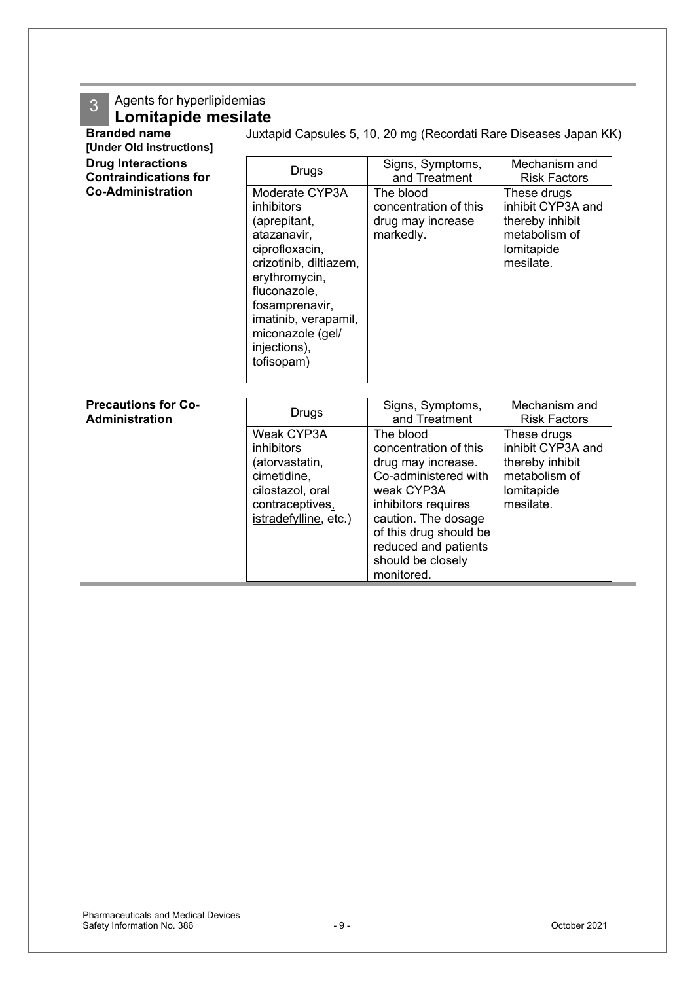## 3 Agents for hyperlipidemias

## **Lomitapide mesilate**

| <b>Branded name</b><br>[Under Old instructions]          | Juxtapid Capsules 5, 10, 20 mg (Recordati Rare Diseases Japan KK)                                                                                                                                                                    |                                                                                                                                                                                                                                   |                                                                                                 |  |  |
|----------------------------------------------------------|--------------------------------------------------------------------------------------------------------------------------------------------------------------------------------------------------------------------------------------|-----------------------------------------------------------------------------------------------------------------------------------------------------------------------------------------------------------------------------------|-------------------------------------------------------------------------------------------------|--|--|
| <b>Drug Interactions</b><br><b>Contraindications for</b> | <b>Drugs</b>                                                                                                                                                                                                                         | Signs, Symptoms,<br>and Treatment                                                                                                                                                                                                 | Mechanism and<br><b>Risk Factors</b>                                                            |  |  |
| <b>Co-Administration</b>                                 | Moderate CYP3A<br>inhibitors<br>(aprepitant,<br>atazanavir,<br>ciprofloxacin,<br>crizotinib, diltiazem,<br>erythromycin,<br>fluconazole,<br>fosamprenavir,<br>imatinib, verapamil,<br>miconazole (gel/<br>injections),<br>tofisopam) | The blood<br>concentration of this<br>drug may increase<br>markedly.                                                                                                                                                              | These drugs<br>inhibit CYP3A and<br>thereby inhibit<br>metabolism of<br>lomitapide<br>mesilate. |  |  |
| <b>Precautions for Co-</b><br><b>Administration</b>      | <b>Drugs</b>                                                                                                                                                                                                                         | Signs, Symptoms,<br>and Treatment                                                                                                                                                                                                 | Mechanism and<br><b>Risk Factors</b>                                                            |  |  |
|                                                          | Weak CYP3A<br>inhibitors<br>(atorvastatin,<br>cimetidine,<br>cilostazol, oral<br>contraceptives,<br>istradefylline, etc.)                                                                                                            | The blood<br>concentration of this<br>drug may increase.<br>Co-administered with<br>weak CYP3A<br>inhibitors requires<br>caution. The dosage<br>of this drug should be<br>reduced and patients<br>should be closely<br>monitored. | These drugs<br>inhibit CYP3A and<br>thereby inhibit<br>metabolism of<br>lomitapide<br>mesilate. |  |  |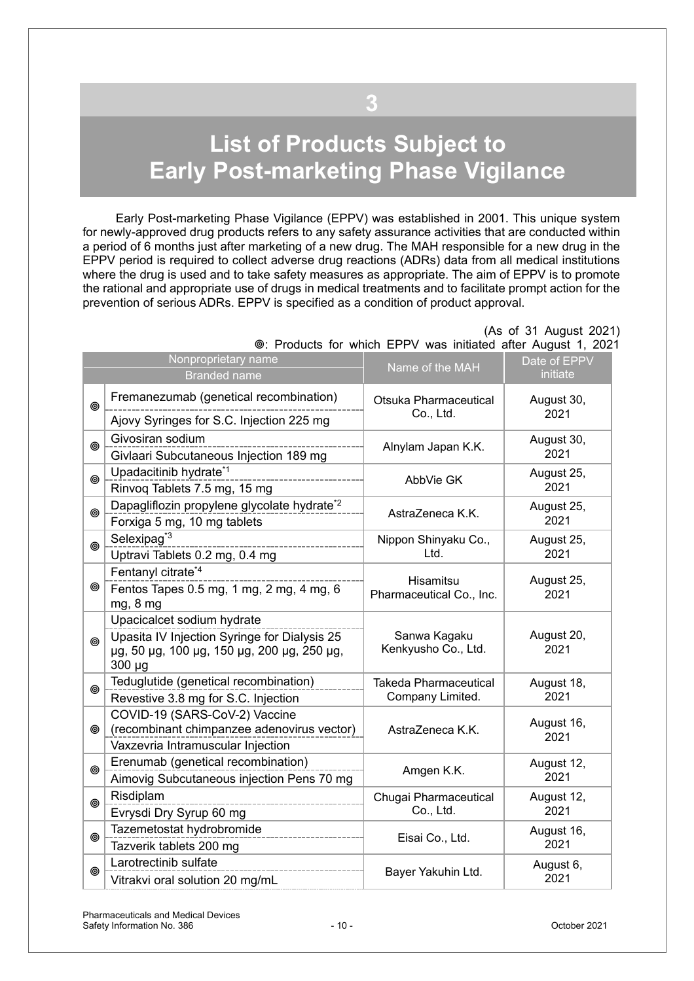# <span id="page-9-0"></span>**List of Products Subject to Early Post-marketing Phase Vigilance**

**3**

Early Post-marketing Phase Vigilance (EPPV) was established in 2001. This unique system for newly-approved drug products refers to any safety assurance activities that are conducted within a period of 6 months just after marketing of a new drug. The MAH responsible for a new drug in the EPPV period is required to collect adverse drug reactions (ADRs) data from all medical institutions where the drug is used and to take safety measures as appropriate. The aim of EPPV is to promote the rational and appropriate use of drugs in medical treatments and to facilitate prompt action for the prevention of serious ADRs. EPPV is specified as a condition of product approval.

|   | Nonproprietary name<br><b>Branded name</b>                                                                                              | Name of the MAH                                  | Date of EPPV<br>initiate |
|---|-----------------------------------------------------------------------------------------------------------------------------------------|--------------------------------------------------|--------------------------|
| ◉ | Fremanezumab (genetical recombination)<br>Ajovy Syringes for S.C. Injection 225 mg                                                      | Otsuka Pharmaceutical<br>Co., Ltd.               | August 30,<br>2021       |
| ◉ | Givosiran sodium<br>Givlaari Subcutaneous Injection 189 mg                                                                              | Alnylam Japan K.K.                               | August 30,<br>2021       |
| ◎ | Upadacitinib hydrate <sup>*1</sup><br>Rinvoq Tablets 7.5 mg, 15 mg                                                                      | AbbVie GK                                        | August 25,<br>2021       |
| ◉ | Dapagliflozin propylene glycolate hydrate <sup>*2</sup><br>Forxiga 5 mg, 10 mg tablets                                                  | AstraZeneca K.K.                                 | August 25,<br>2021       |
| ◉ | Selexipag <sup>*3</sup><br>Uptravi Tablets 0.2 mg, 0.4 mg                                                                               | Nippon Shinyaku Co.,<br>Ltd.                     | August 25,<br>2021       |
| ◉ | Fentanyl citrate*4<br>Fentos Tapes 0.5 mg, 1 mg, 2 mg, 4 mg, 6<br>mg, 8 mg                                                              | Hisamitsu<br>Pharmaceutical Co., Inc.            | August 25,<br>2021       |
| ◎ | Upacicalcet sodium hydrate<br>Upasita IV Injection Syringe for Dialysis 25<br>µg, 50 µg, 100 µg, 150 µg, 200 µg, 250 µg,<br>$300 \mu g$ | Sanwa Kagaku<br>Kenkyusho Co., Ltd.              | August 20,<br>2021       |
| ◎ | Teduglutide (genetical recombination)<br>Revestive 3.8 mg for S.C. Injection                                                            | <b>Takeda Pharmaceutical</b><br>Company Limited. | August 18,<br>2021       |
| ◉ | COVID-19 (SARS-CoV-2) Vaccine<br>(recombinant chimpanzee adenovirus vector)<br>Vaxzevria Intramuscular Injection                        | AstraZeneca K.K.                                 | August 16,<br>2021       |
| ⊚ | Erenumab (genetical recombination)<br>Aimovig Subcutaneous injection Pens 70 mg                                                         | Amgen K.K.                                       | August 12,<br>2021       |
| ◎ | Risdiplam<br>Evrysdi Dry Syrup 60 mg                                                                                                    | Chugai Pharmaceutical<br>Co., Ltd.               | August 12,<br>2021       |
| ◉ | Tazemetostat hydrobromide<br>Tazverik tablets 200 mg                                                                                    | Eisai Co., Ltd.                                  | August 16,<br>2021       |
| ◉ | Larotrectinib sulfate<br>Vitrakvi oral solution 20 mg/mL                                                                                | Bayer Yakuhin Ltd.                               | August 6,<br>2021        |

#### (As of 31 August 2021) : Products for which EPPV was initiated after August 1, 2021

Pharmaceuticals and Medical Devices Safety Information No. 386 and Safety Information No. 386 and Society 10 - Company of the USD october 2021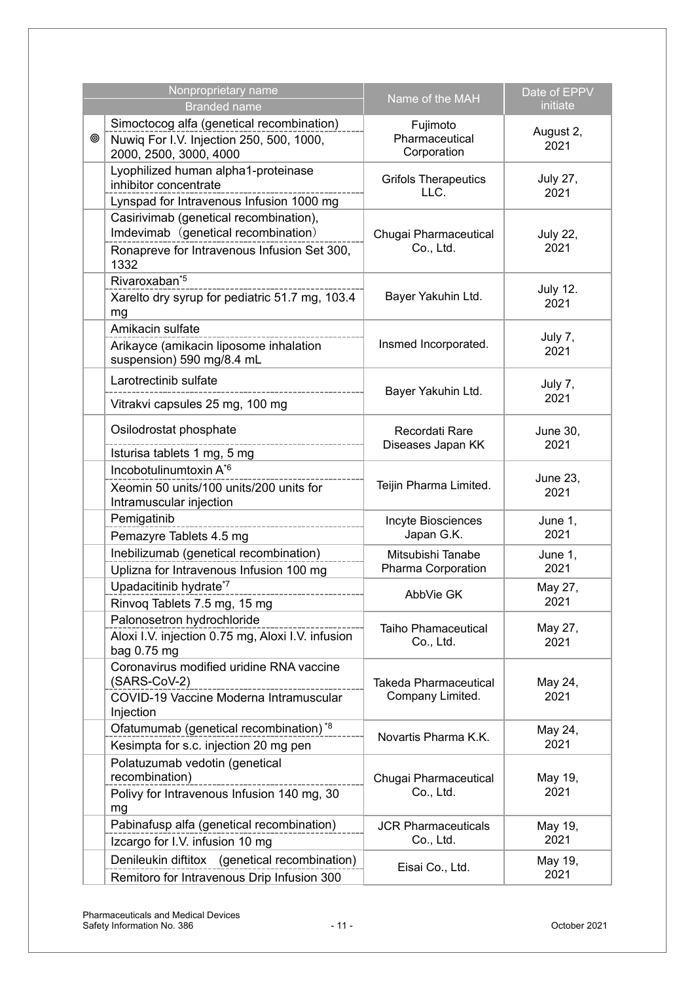| Nonproprietary name<br><b>Branded name</b> |                                                                                                                                      | Name of the MAH                                  | Date of EPPV<br>initiate |
|--------------------------------------------|--------------------------------------------------------------------------------------------------------------------------------------|--------------------------------------------------|--------------------------|
| ◉                                          | Simoctocog alfa (genetical recombination)<br>Nuwiq For I.V. Injection 250, 500, 1000,<br>2000, 2500, 3000, 4000                      | Fujimoto<br>Pharmaceutical<br>Corporation        | August 2,<br>2021        |
|                                            | Lyophilized human alpha1-proteinase<br>inhibitor concentrate<br>Lynspad for Intravenous Infusion 1000 mg                             | <b>Grifols Therapeutics</b><br>LLC.              | <b>July 27,</b><br>2021  |
|                                            | Casirivimab (genetical recombination),<br>Imdevimab (genetical recombination)<br>Ronapreve for Intravenous Infusion Set 300,<br>1332 | Chugai Pharmaceutical<br>Co., Ltd.               | <b>July 22,</b><br>2021  |
|                                            | Rivaroxaban <sup>*5</sup><br>Xarelto dry syrup for pediatric 51.7 mg, 103.4<br>mg                                                    | Bayer Yakuhin Ltd.                               | <b>July 12.</b><br>2021  |
|                                            | Amikacin sulfate<br>Arikayce (amikacin liposome inhalation<br>suspension) 590 mg/8.4 mL                                              | Insmed Incorporated.                             | July 7,<br>2021          |
|                                            | Larotrectinib sulfate<br>Vitrakvi capsules 25 mg, 100 mg                                                                             | Bayer Yakuhin Ltd.                               | July 7,<br>2021          |
|                                            | Osilodrostat phosphate<br>Isturisa tablets 1 mg, 5 mg                                                                                | Recordati Rare<br>Diseases Japan KK              | <b>June 30,</b><br>2021  |
|                                            | Incobotulinumtoxin A <sup>*6</sup><br>Xeomin 50 units/100 units/200 units for<br>Intramuscular injection                             | Teijin Pharma Limited.                           | June 23,<br>2021         |
|                                            | Pemigatinib<br>Pemazyre Tablets 4.5 mg                                                                                               | Incyte Biosciences<br>Japan G.K.                 | June 1,<br>2021          |
|                                            | Inebilizumab (genetical recombination)<br>Uplizna for Intravenous Infusion 100 mg                                                    | Mitsubishi Tanabe<br>Pharma Corporation          | June 1,<br>2021          |
|                                            | Upadacitinib hydrate*7<br>Rinvoq Tablets 7.5 mg, 15 mg                                                                               | AbbVie GK                                        | May 27,<br>2021          |
|                                            | Palonosetron hydrochloride<br>Aloxi I.V. injection 0.75 mg, Aloxi I.V. infusion<br>bag 0.75 mg                                       | <b>Taiho Phamaceutical</b><br>Co., Ltd.          | May 27,<br>2021          |
|                                            | Coronavirus modified uridine RNA vaccine<br>(SARS-CoV-2)<br>COVID-19 Vaccine Moderna Intramuscular<br>Injection                      | <b>Takeda Pharmaceutical</b><br>Company Limited. | May 24,<br>2021          |
|                                            | Ofatumumab (genetical recombination) <sup>*8</sup><br>Kesimpta for s.c. injection 20 mg pen                                          | Novartis Pharma K.K.                             | May 24,<br>2021          |
|                                            | Polatuzumab vedotin (genetical<br>recombination)<br>Polivy for Intravenous Infusion 140 mg, 30<br>mg                                 | Chugai Pharmaceutical<br>Co., Ltd.               | May 19,<br>2021          |
|                                            | Pabinafusp alfa (genetical recombination)<br>Izcargo for I.V. infusion 10 mg                                                         | <b>JCR Pharmaceuticals</b><br>Co., Ltd.          | May 19,<br>2021          |
|                                            | Denileukin diftitox (genetical recombination)<br>Remitoro for Intravenous Drip Infusion 300                                          | Eisai Co., Ltd.                                  | May 19,<br>2021          |